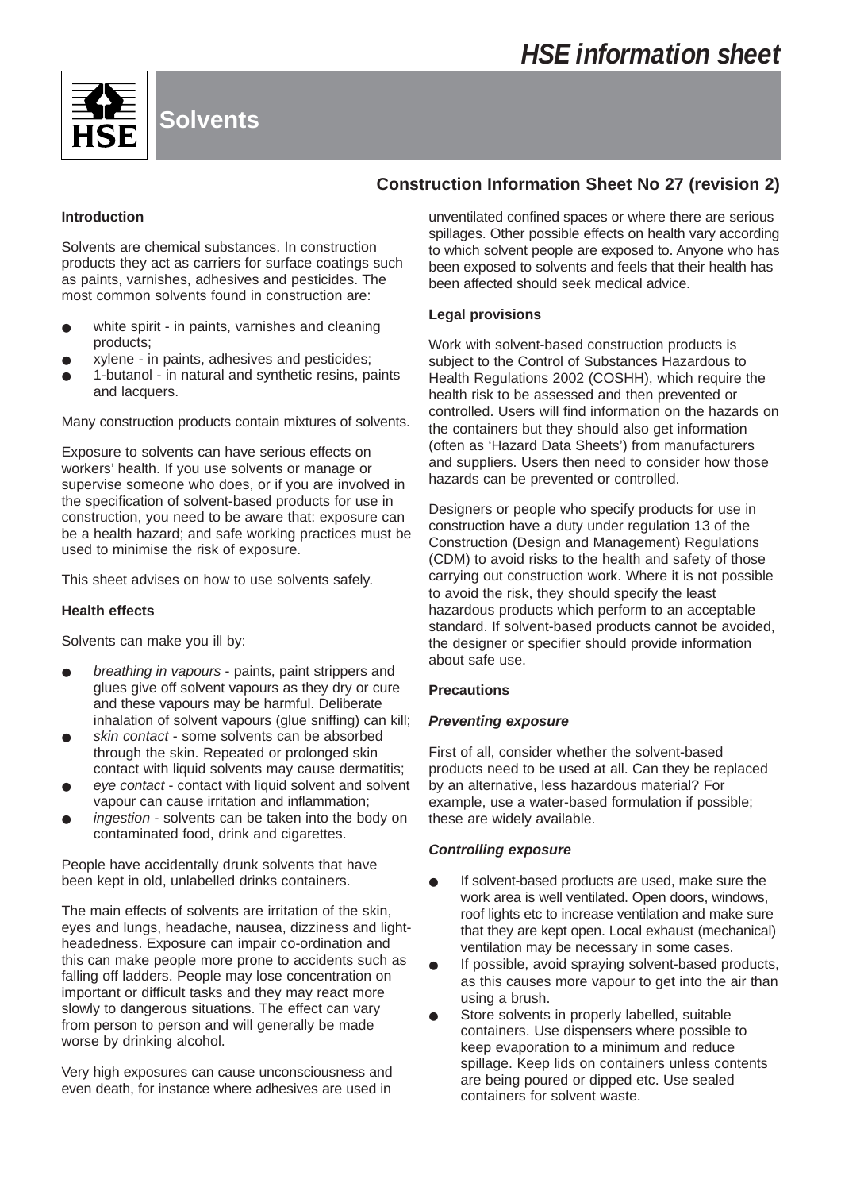

# **Construction Information Sheet No 27 (revision 2)**

## **Introduction**

Solvents are chemical substances. In construction products they act as carriers for surface coatings such as paints, varnishes, adhesives and pesticides. The most common solvents found in construction are:

- white spirit in paints, varnishes and cleaning products;
- xylene in paints, adhesives and pesticides;
- 1-butanol in natural and synthetic resins, paints and lacquers.

Many construction products contain mixtures of solvents.

Exposure to solvents can have serious effects on workers' health. If you use solvents or manage or supervise someone who does, or if you are involved in the specification of solvent-based products for use in construction, you need to be aware that: exposure can be a health hazard; and safe working practices must be used to minimise the risk of exposure.

This sheet advises on how to use solvents safely.

#### **Health effects**

Solvents can make you ill by:

- breathing in vapours paints, paint strippers and glues give off solvent vapours as they dry or cure and these vapours may be harmful. Deliberate inhalation of solvent vapours (glue sniffing) can kill;
- skin contact some solvents can be absorbed through the skin. Repeated or prolonged skin contact with liquid solvents may cause dermatitis;
- eye contact contact with liquid solvent and solvent vapour can cause irritation and inflammation;
- ingestion solvents can be taken into the body on contaminated food, drink and cigarettes.

People have accidentally drunk solvents that have been kept in old, unlabelled drinks containers.

The main effects of solvents are irritation of the skin, eyes and lungs, headache, nausea, dizziness and lightheadedness. Exposure can impair co-ordination and this can make people more prone to accidents such as falling off ladders. People may lose concentration on important or difficult tasks and they may react more slowly to dangerous situations. The effect can vary from person to person and will generally be made worse by drinking alcohol.

Very high exposures can cause unconsciousness and even death, for instance where adhesives are used in

unventilated confined spaces or where there are serious spillages. Other possible effects on health vary according to which solvent people are exposed to. Anyone who has been exposed to solvents and feels that their health has been affected should seek medical advice.

#### **Legal provisions**

Work with solvent-based construction products is subject to the Control of Substances Hazardous to Health Regulations 2002 (COSHH), which require the health risk to be assessed and then prevented or controlled. Users will find information on the hazards on the containers but they should also get information (often as 'Hazard Data Sheets') from manufacturers and suppliers. Users then need to consider how those hazards can be prevented or controlled.

Designers or people who specify products for use in construction have a duty under regulation 13 of the Construction (Design and Management) Regulations (CDM) to avoid risks to the health and safety of those carrying out construction work. Where it is not possible to avoid the risk, they should specify the least hazardous products which perform to an acceptable standard. If solvent-based products cannot be avoided, the designer or specifier should provide information about safe use.

#### **Precautions**

#### **Preventing exposure**

First of all, consider whether the solvent-based products need to be used at all. Can they be replaced by an alternative, less hazardous material? For example, use a water-based formulation if possible; these are widely available.

#### **Controlling exposure**

- If solvent-based products are used, make sure the work area is well ventilated. Open doors, windows, roof lights etc to increase ventilation and make sure that they are kept open. Local exhaust (mechanical) ventilation may be necessary in some cases.
- If possible, avoid spraying solvent-based products, as this causes more vapour to get into the air than using a brush.
- Store solvents in properly labelled, suitable containers. Use dispensers where possible to keep evaporation to a minimum and reduce spillage. Keep lids on containers unless contents are being poured or dipped etc. Use sealed containers for solvent waste.